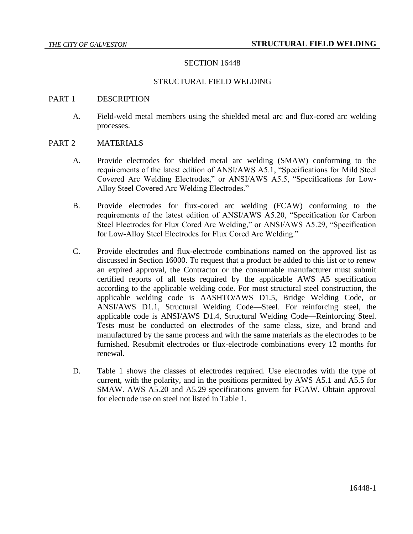# SECTION 16448

## STRUCTURAL FIELD WELDING

#### PART 1 DESCRIPTION

A. Field-weld metal members using the shielded metal arc and flux-cored arc welding processes.

## PART 2 MATERIALS

- A. Provide electrodes for shielded metal arc welding (SMAW) conforming to the requirements of the latest edition of ANSI/AWS A5.1, "Specifications for Mild Steel Covered Arc Welding Electrodes," or ANSI/AWS A5.5, "Specifications for Low-Alloy Steel Covered Arc Welding Electrodes."
- B. Provide electrodes for flux-cored arc welding (FCAW) conforming to the requirements of the latest edition of ANSI/AWS A5.20, "Specification for Carbon Steel Electrodes for Flux Cored Arc Welding," or ANSI/AWS A5.29, "Specification for Low-Alloy Steel Electrodes for Flux Cored Arc Welding."
- C. Provide electrodes and flux-electrode combinations named on the approved list as discussed in Section 16000. To request that a product be added to this list or to renew an expired approval, the Contractor or the consumable manufacturer must submit certified reports of all tests required by the applicable AWS A5 specification according to the applicable welding code. For most structural steel construction, the applicable welding code is AASHTO/AWS D1.5, Bridge Welding Code, or ANSI/AWS D1.1, Structural Welding Code—Steel. For reinforcing steel, the applicable code is ANSI/AWS D1.4, Structural Welding Code—Reinforcing Steel. Tests must be conducted on electrodes of the same class, size, and brand and manufactured by the same process and with the same materials as the electrodes to be furnished. Resubmit electrodes or flux-electrode combinations every 12 months for renewal.
- D. Table 1 shows the classes of electrodes required. Use electrodes with the type of current, with the polarity, and in the positions permitted by AWS A5.1 and A5.5 for SMAW. AWS A5.20 and A5.29 specifications govern for FCAW. Obtain approval for electrode use on steel not listed in Table 1.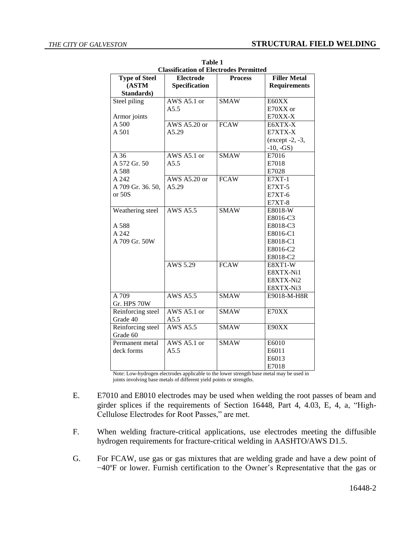| <b>Classification of Electrodes Permitted</b> |                      |                |                     |  |  |
|-----------------------------------------------|----------------------|----------------|---------------------|--|--|
| <b>Type of Steel</b>                          | Electrode            | <b>Process</b> | <b>Filler Metal</b> |  |  |
| (ASTM                                         | <b>Specification</b> |                | <b>Requirements</b> |  |  |
| Standards)                                    |                      |                |                     |  |  |
| Steel piling                                  | AWS A5.1 or          | <b>SMAW</b>    | E60XX               |  |  |
|                                               | A5.5                 |                | E70XX or            |  |  |
| Armor joints                                  |                      |                | E70XX-X             |  |  |
| A 500                                         | AWS $A5.20$ or       | <b>FCAW</b>    | E6XTX-X             |  |  |
| A 501                                         | A5.29                |                | E7XTX-X             |  |  |
|                                               |                      |                | (except -2, -3,     |  |  |
|                                               |                      |                | $-10, -GS$ )        |  |  |
| A 36                                          | AWS A5.1 or          | <b>SMAW</b>    | E7016               |  |  |
| A 572 Gr. 50                                  | A5.5                 |                | E7018               |  |  |
| A 588                                         |                      |                | E7028               |  |  |
| A 242                                         | AWS A5.20 or         | <b>FCAW</b>    | <b>E7XT-1</b>       |  |  |
| A 709 Gr. 36. 50,                             | A5.29                |                | $E7XT-5$            |  |  |
| or 50S                                        |                      |                | $E7XT-6$            |  |  |
|                                               |                      |                | <b>E7XT-8</b>       |  |  |
| Weathering steel                              | <b>AWS A5.5</b>      | <b>SMAW</b>    | E8018-W             |  |  |
|                                               |                      |                | E8016-C3            |  |  |
| A 588                                         |                      |                | E8018-C3            |  |  |
| A 242                                         |                      |                | E8016-C1            |  |  |
| A 709 Gr. 50W                                 |                      |                | E8018-C1            |  |  |
|                                               |                      |                | E8016-C2            |  |  |
|                                               |                      |                | E8018-C2            |  |  |
|                                               | AWS 5.29             | <b>FCAW</b>    | E8XT1-W             |  |  |
|                                               |                      |                | E8XTX-Ni1           |  |  |
|                                               |                      |                | E8XTX-Ni2           |  |  |
|                                               |                      |                | E8XTX-Ni3           |  |  |
| A 709                                         | <b>AWS A5.5</b>      | <b>SMAW</b>    | E9018-M-H8R         |  |  |
| Gr. HPS 70W                                   |                      |                |                     |  |  |
| Reinforcing steel                             | AWS A5.1 or          | <b>SMAW</b>    | E70XX               |  |  |
| Grade 40                                      | A5.5                 |                |                     |  |  |
| Reinforcing steel                             | <b>AWS A5.5</b>      | <b>SMAW</b>    | E90XX               |  |  |
| Grade 60                                      |                      |                |                     |  |  |
| Permanent metal                               | AWS A5.1 or          | <b>SMAW</b>    | E6010               |  |  |
| deck forms                                    | A5.5                 |                | E6011               |  |  |
|                                               |                      |                | E6013               |  |  |
|                                               |                      |                | E7018               |  |  |

**Table 1**

Note: Low-hydrogen electrodes applicable to the lower strength base metal may be used in joints involving base metals of different yield points or strengths.

- E. E7010 and E8010 electrodes may be used when welding the root passes of beam and girder splices if the requirements of Section 16448, Part 4, 4.03, E, 4, a, "High-Cellulose Electrodes for Root Passes," are met.
- F. When welding fracture-critical applications, use electrodes meeting the diffusible hydrogen requirements for fracture-critical welding in AASHTO/AWS D1.5.
- G. For FCAW, use gas or gas mixtures that are welding grade and have a dew point of −40ºF or lower. Furnish certification to the Owner's Representative that the gas or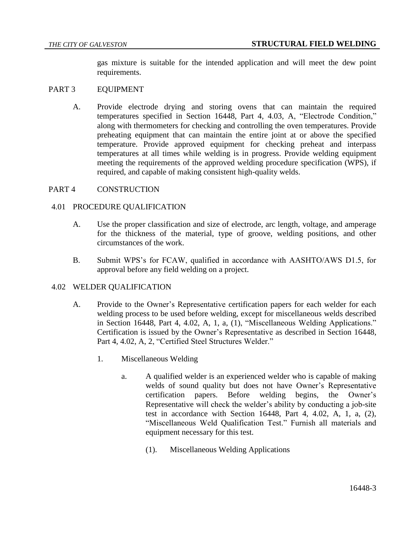gas mixture is suitable for the intended application and will meet the dew point requirements.

## PART 3 EQUIPMENT

A. Provide electrode drying and storing ovens that can maintain the required temperatures specified in Section 16448, Part 4, 4.03, A, "Electrode Condition," along with thermometers for checking and controlling the oven temperatures. Provide preheating equipment that can maintain the entire joint at or above the specified temperature. Provide approved equipment for checking preheat and interpass temperatures at all times while welding is in progress. Provide welding equipment meeting the requirements of the approved welding procedure specification (WPS), if required, and capable of making consistent high-quality welds.

#### PART 4 CONSTRUCTION

## 4.01 PROCEDURE QUALIFICATION

- A. Use the proper classification and size of electrode, arc length, voltage, and amperage for the thickness of the material, type of groove, welding positions, and other circumstances of the work.
- B. Submit WPS's for FCAW, qualified in accordance with AASHTO/AWS D1.5, for approval before any field welding on a project.

#### 4.02 WELDER QUALIFICATION

- A. Provide to the Owner's Representative certification papers for each welder for each welding process to be used before welding, except for miscellaneous welds described in Section 16448, Part 4, 4.02, A, 1, a, (1), "Miscellaneous Welding Applications." Certification is issued by the Owner's Representative as described in Section 16448, Part 4, 4.02, A, 2, "Certified Steel Structures Welder."
	- 1. Miscellaneous Welding
		- a. A qualified welder is an experienced welder who is capable of making welds of sound quality but does not have Owner's Representative certification papers. Before welding begins, the Owner's Representative will check the welder's ability by conducting a job-site test in accordance with Section 16448, Part 4, 4.02, A, 1, a, (2), "Miscellaneous Weld Qualification Test." Furnish all materials and equipment necessary for this test.
			- (1). Miscellaneous Welding Applications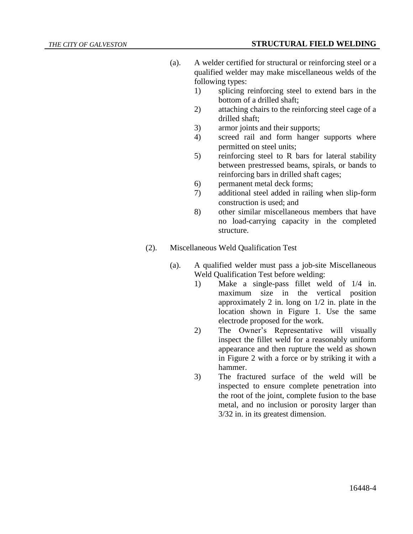- (a). A welder certified for structural or reinforcing steel or a qualified welder may make miscellaneous welds of the following types:
	- 1) splicing reinforcing steel to extend bars in the bottom of a drilled shaft;
	- 2) attaching chairs to the reinforcing steel cage of a drilled shaft;
	- 3) armor joints and their supports;
	- 4) screed rail and form hanger supports where permitted on steel units;
	- 5) reinforcing steel to R bars for lateral stability between prestressed beams, spirals, or bands to reinforcing bars in drilled shaft cages;
	- 6) permanent metal deck forms;
	- 7) additional steel added in railing when slip-form construction is used; and
	- 8) other similar miscellaneous members that have no load-carrying capacity in the completed structure.
- (2). Miscellaneous Weld Qualification Test
	- (a). A qualified welder must pass a job-site Miscellaneous Weld Qualification Test before welding:
		- 1) Make a single-pass fillet weld of 1/4 in. maximum size in the vertical position approximately 2 in. long on 1/2 in. plate in the location shown in Figure 1. Use the same electrode proposed for the work.
		- 2) The Owner's Representative will visually inspect the fillet weld for a reasonably uniform appearance and then rupture the weld as shown in Figure 2 with a force or by striking it with a hammer.
		- 3) The fractured surface of the weld will be inspected to ensure complete penetration into the root of the joint, complete fusion to the base metal, and no inclusion or porosity larger than 3/32 in. in its greatest dimension.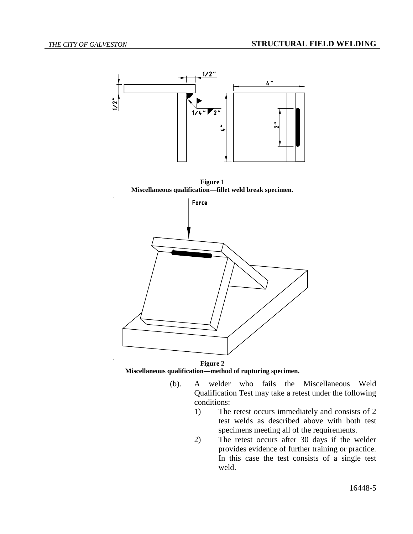

**Figure 1 Miscellaneous qualification—fillet weld break specimen.**



**Figure 2 Miscellaneous qualification—method of rupturing specimen.**

- (b). A welder who fails the Miscellaneous Weld Qualification Test may take a retest under the following conditions:
	- 1) The retest occurs immediately and consists of 2 test welds as described above with both test specimens meeting all of the requirements.
	- 2) The retest occurs after 30 days if the welder provides evidence of further training or practice. In this case the test consists of a single test weld.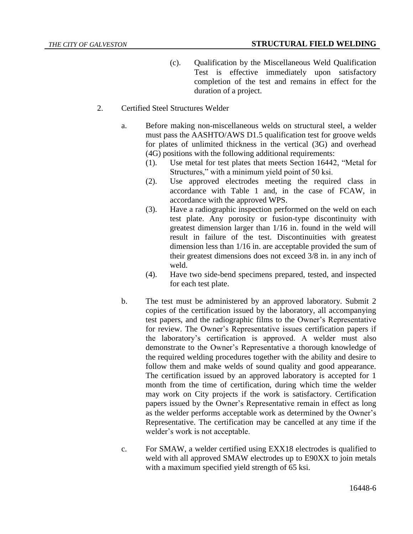- (c). Qualification by the Miscellaneous Weld Qualification Test is effective immediately upon satisfactory completion of the test and remains in effect for the duration of a project.
- 2. Certified Steel Structures Welder
	- a. Before making non-miscellaneous welds on structural steel, a welder must pass the AASHTO/AWS D1.5 qualification test for groove welds for plates of unlimited thickness in the vertical (3G) and overhead (4G) positions with the following additional requirements:
		- (1). Use metal for test plates that meets Section 16442, "Metal for Structures," with a minimum yield point of 50 ksi.
		- (2). Use approved electrodes meeting the required class in accordance with Table 1 and, in the case of FCAW, in accordance with the approved WPS.
		- (3). Have a radiographic inspection performed on the weld on each test plate. Any porosity or fusion-type discontinuity with greatest dimension larger than 1/16 in. found in the weld will result in failure of the test. Discontinuities with greatest dimension less than 1/16 in. are acceptable provided the sum of their greatest dimensions does not exceed 3/8 in. in any inch of weld.
		- (4). Have two side-bend specimens prepared, tested, and inspected for each test plate.
	- b. The test must be administered by an approved laboratory. Submit 2 copies of the certification issued by the laboratory, all accompanying test papers, and the radiographic films to the Owner's Representative for review. The Owner's Representative issues certification papers if the laboratory's certification is approved. A welder must also demonstrate to the Owner's Representative a thorough knowledge of the required welding procedures together with the ability and desire to follow them and make welds of sound quality and good appearance. The certification issued by an approved laboratory is accepted for 1 month from the time of certification, during which time the welder may work on City projects if the work is satisfactory. Certification papers issued by the Owner's Representative remain in effect as long as the welder performs acceptable work as determined by the Owner's Representative. The certification may be cancelled at any time if the welder's work is not acceptable.
	- c. For SMAW, a welder certified using EXX18 electrodes is qualified to weld with all approved SMAW electrodes up to E90XX to join metals with a maximum specified yield strength of 65 ksi.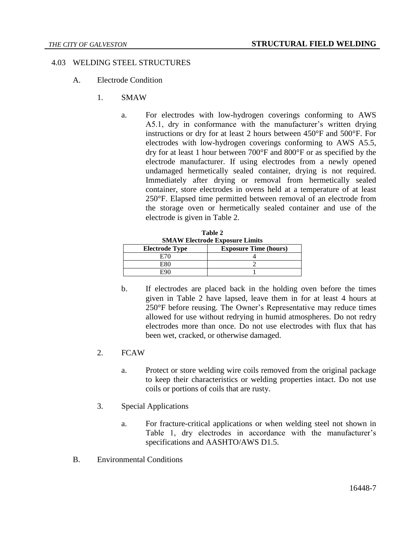# 4.03 WELDING STEEL STRUCTURES

- A. Electrode Condition
	- 1. SMAW
		- a. For electrodes with low-hydrogen coverings conforming to AWS A5.1, dry in conformance with the manufacturer's written drying instructions or dry for at least 2 hours between 450°F and 500°F. For electrodes with low-hydrogen coverings conforming to AWS A5.5, dry for at least 1 hour between 700°F and 800°F or as specified by the electrode manufacturer. If using electrodes from a newly opened undamaged hermetically sealed container, drying is not required. Immediately after drying or removal from hermetically sealed container, store electrodes in ovens held at a temperature of at least 250°F. Elapsed time permitted between removal of an electrode from the storage oven or hermetically sealed container and use of the electrode is given in Table 2.

| <b>SMAW Electrode Exposure Limits</b> |                              |  |
|---------------------------------------|------------------------------|--|
| <b>Electrode Type</b>                 | <b>Exposure Time (hours)</b> |  |
| E70                                   |                              |  |
| E80                                   |                              |  |
|                                       |                              |  |

**Table 2**

- b. If electrodes are placed back in the holding oven before the times given in Table 2 have lapsed, leave them in for at least 4 hours at 250°F before reusing. The Owner's Representative may reduce times allowed for use without redrying in humid atmospheres. Do not redry electrodes more than once. Do not use electrodes with flux that has been wet, cracked, or otherwise damaged.
- 2. FCAW
	- a. Protect or store welding wire coils removed from the original package to keep their characteristics or welding properties intact. Do not use coils or portions of coils that are rusty.
- 3. Special Applications
	- a. For fracture-critical applications or when welding steel not shown in Table 1, dry electrodes in accordance with the manufacturer's specifications and AASHTO/AWS D1.5.
- B. Environmental Conditions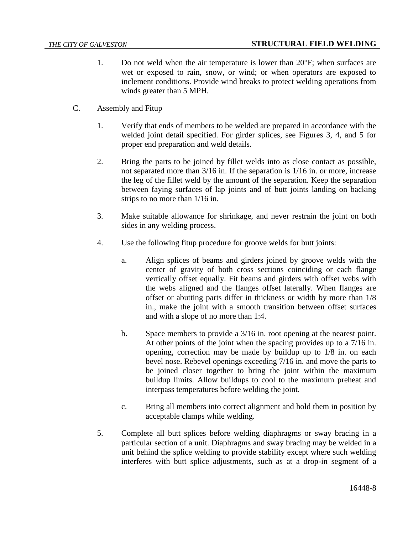- 1. Do not weld when the air temperature is lower than 20°F; when surfaces are wet or exposed to rain, snow, or wind; or when operators are exposed to inclement conditions. Provide wind breaks to protect welding operations from winds greater than 5 MPH.
- C. Assembly and Fitup
	- 1. Verify that ends of members to be welded are prepared in accordance with the welded joint detail specified. For girder splices, see Figures 3, 4, and 5 for proper end preparation and weld details.
	- 2. Bring the parts to be joined by fillet welds into as close contact as possible, not separated more than 3/16 in. If the separation is 1/16 in. or more, increase the leg of the fillet weld by the amount of the separation. Keep the separation between faying surfaces of lap joints and of butt joints landing on backing strips to no more than 1/16 in.
	- 3. Make suitable allowance for shrinkage, and never restrain the joint on both sides in any welding process.
	- 4. Use the following fitup procedure for groove welds for butt joints:
		- a. Align splices of beams and girders joined by groove welds with the center of gravity of both cross sections coinciding or each flange vertically offset equally. Fit beams and girders with offset webs with the webs aligned and the flanges offset laterally. When flanges are offset or abutting parts differ in thickness or width by more than 1/8 in., make the joint with a smooth transition between offset surfaces and with a slope of no more than 1:4.
		- b. Space members to provide a 3/16 in. root opening at the nearest point. At other points of the joint when the spacing provides up to a 7/16 in. opening, correction may be made by buildup up to 1/8 in. on each bevel nose. Rebevel openings exceeding 7/16 in. and move the parts to be joined closer together to bring the joint within the maximum buildup limits. Allow buildups to cool to the maximum preheat and interpass temperatures before welding the joint.
		- c. Bring all members into correct alignment and hold them in position by acceptable clamps while welding.
	- 5. Complete all butt splices before welding diaphragms or sway bracing in a particular section of a unit. Diaphragms and sway bracing may be welded in a unit behind the splice welding to provide stability except where such welding interferes with butt splice adjustments, such as at a drop-in segment of a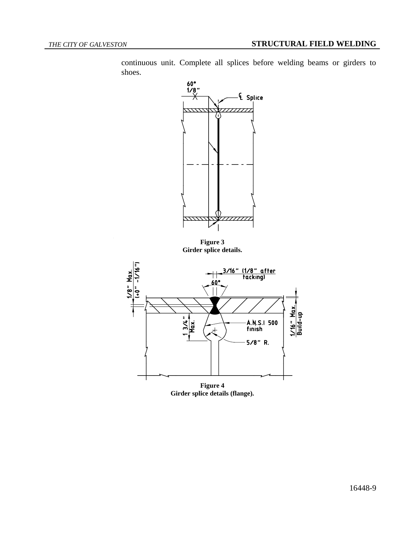continuous unit. Complete all splices before welding beams or girders to shoes.



**Figure 3 Girder splice details.**



**Figure 4 Girder splice details (flange).**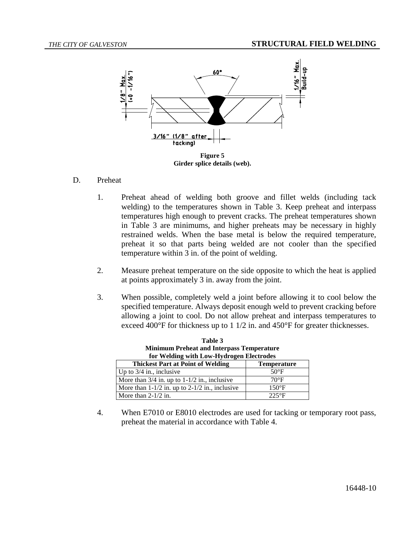

## D. Preheat

- 1. Preheat ahead of welding both groove and fillet welds (including tack welding) to the temperatures shown in Table 3. Keep preheat and interpass temperatures high enough to prevent cracks. The preheat temperatures shown in Table 3 are minimums, and higher preheats may be necessary in highly restrained welds. When the base metal is below the required temperature, preheat it so that parts being welded are not cooler than the specified temperature within 3 in. of the point of welding.
- 2. Measure preheat temperature on the side opposite to which the heat is applied at points approximately 3 in. away from the joint.
- 3. When possible, completely weld a joint before allowing it to cool below the specified temperature. Always deposit enough weld to prevent cracking before allowing a joint to cool. Do not allow preheat and interpass temperatures to exceed 400°F for thickness up to 1 1/2 in. and 450°F for greater thicknesses.

| <b>Minimum Preheat and Interpass Temperature</b><br>for Welding with Low-Hydrogen Electrodes |                    |  |  |
|----------------------------------------------------------------------------------------------|--------------------|--|--|
| <b>Thickest Part at Point of Welding</b>                                                     | <b>Temperature</b> |  |  |
| Up to $3/4$ in., inclusive                                                                   | $50^{\circ}$ F     |  |  |
| More than $3/4$ in. up to $1-1/2$ in., inclusive                                             | $70^{\circ}$ F     |  |  |
| More than $1-1/2$ in. up to $2-1/2$ in., inclusive                                           | $150^{\circ}$ F    |  |  |
| More than $2-1/2$ in.                                                                        | $225^{\circ}F$     |  |  |

**Table 3**

4. When E7010 or E8010 electrodes are used for tacking or temporary root pass, preheat the material in accordance with Table 4.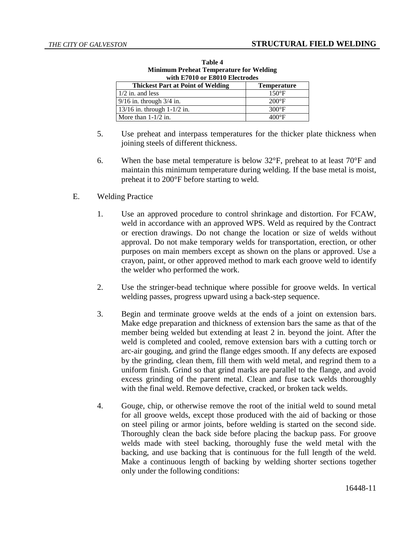| WILD E/VIV OF ESUIV EIECIFOGES           |                    |  |
|------------------------------------------|--------------------|--|
| <b>Thickest Part at Point of Welding</b> | <b>Temperature</b> |  |
| $1/2$ in. and less                       | $150^{\circ}F$     |  |
| $9/16$ in. through $3/4$ in.             | $200^{\circ}F$     |  |
| $13/16$ in. through $1-1/2$ in.          | $300^{\circ}$ F    |  |
| More than $1-1/2$ in.                    | $400^{\circ}$ F    |  |

**Table 4 Minimum Preheat Temperature for Welding with E7010 or E8010 Electrodes**

- 5. Use preheat and interpass temperatures for the thicker plate thickness when joining steels of different thickness.
- 6. When the base metal temperature is below  $32^{\circ}$ F, preheat to at least  $70^{\circ}$ F and maintain this minimum temperature during welding. If the base metal is moist, preheat it to 200°F before starting to weld.
- E. Welding Practice
	- 1. Use an approved procedure to control shrinkage and distortion. For FCAW, weld in accordance with an approved WPS. Weld as required by the Contract or erection drawings. Do not change the location or size of welds without approval. Do not make temporary welds for transportation, erection, or other purposes on main members except as shown on the plans or approved. Use a crayon, paint, or other approved method to mark each groove weld to identify the welder who performed the work.
	- 2. Use the stringer-bead technique where possible for groove welds. In vertical welding passes, progress upward using a back-step sequence.
	- 3. Begin and terminate groove welds at the ends of a joint on extension bars. Make edge preparation and thickness of extension bars the same as that of the member being welded but extending at least 2 in. beyond the joint. After the weld is completed and cooled, remove extension bars with a cutting torch or arc-air gouging, and grind the flange edges smooth. If any defects are exposed by the grinding, clean them, fill them with weld metal, and regrind them to a uniform finish. Grind so that grind marks are parallel to the flange, and avoid excess grinding of the parent metal. Clean and fuse tack welds thoroughly with the final weld. Remove defective, cracked, or broken tack welds.
	- 4. Gouge, chip, or otherwise remove the root of the initial weld to sound metal for all groove welds, except those produced with the aid of backing or those on steel piling or armor joints, before welding is started on the second side. Thoroughly clean the back side before placing the backup pass. For groove welds made with steel backing, thoroughly fuse the weld metal with the backing, and use backing that is continuous for the full length of the weld. Make a continuous length of backing by welding shorter sections together only under the following conditions: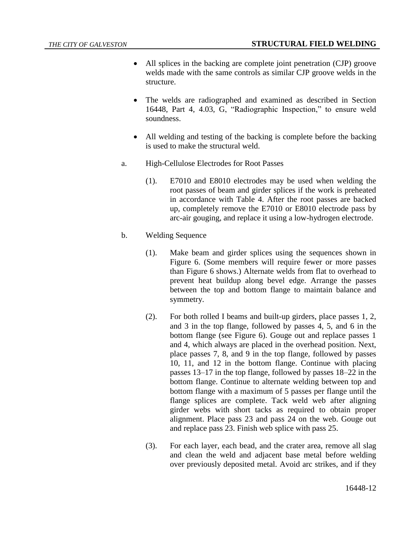- All splices in the backing are complete joint penetration (CJP) groove welds made with the same controls as similar CJP groove welds in the structure.
- The welds are radiographed and examined as described in Section 16448, Part 4, 4.03, G, "Radiographic Inspection," to ensure weld soundness.
- All welding and testing of the backing is complete before the backing is used to make the structural weld.
- a. High-Cellulose Electrodes for Root Passes
	- (1). E7010 and E8010 electrodes may be used when welding the root passes of beam and girder splices if the work is preheated in accordance with Table 4. After the root passes are backed up, completely remove the E7010 or E8010 electrode pass by arc-air gouging, and replace it using a low-hydrogen electrode.
- b. Welding Sequence
	- (1). Make beam and girder splices using the sequences shown in Figure 6. (Some members will require fewer or more passes than Figure 6 shows.) Alternate welds from flat to overhead to prevent heat buildup along bevel edge. Arrange the passes between the top and bottom flange to maintain balance and symmetry.
	- (2). For both rolled I beams and built-up girders, place passes 1, 2, and 3 in the top flange, followed by passes 4, 5, and 6 in the bottom flange (see Figure 6). Gouge out and replace passes 1 and 4, which always are placed in the overhead position. Next, place passes 7, 8, and 9 in the top flange, followed by passes 10, 11, and 12 in the bottom flange. Continue with placing passes 13–17 in the top flange, followed by passes 18–22 in the bottom flange. Continue to alternate welding between top and bottom flange with a maximum of 5 passes per flange until the flange splices are complete. Tack weld web after aligning girder webs with short tacks as required to obtain proper alignment. Place pass 23 and pass 24 on the web. Gouge out and replace pass 23. Finish web splice with pass 25.
	- (3). For each layer, each bead, and the crater area, remove all slag and clean the weld and adjacent base metal before welding over previously deposited metal. Avoid arc strikes, and if they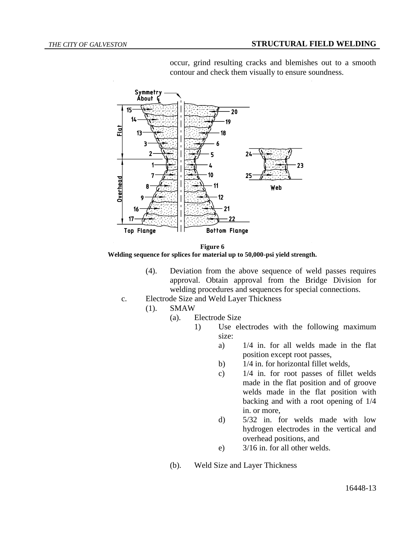

occur, grind resulting cracks and blemishes out to a smooth contour and check them visually to ensure soundness.

**Figure 6 Welding sequence for splices for material up to 50,000-psi yield strength.**

- (4). Deviation from the above sequence of weld passes requires approval. Obtain approval from the Bridge Division for welding procedures and sequences for special connections.
- c. Electrode Size and Weld Layer Thickness
	- (1). SMAW
		- (a). Electrode Size
			- 1) Use electrodes with the following maximum size:
				- a) 1/4 in. for all welds made in the flat position except root passes,
				- b) 1/4 in. for horizontal fillet welds,
				- c) 1/4 in. for root passes of fillet welds made in the flat position and of groove welds made in the flat position with backing and with a root opening of 1/4 in. or more,
				- d) 5/32 in. for welds made with low hydrogen electrodes in the vertical and overhead positions, and
				- e) 3/16 in. for all other welds.
		- (b). Weld Size and Layer Thickness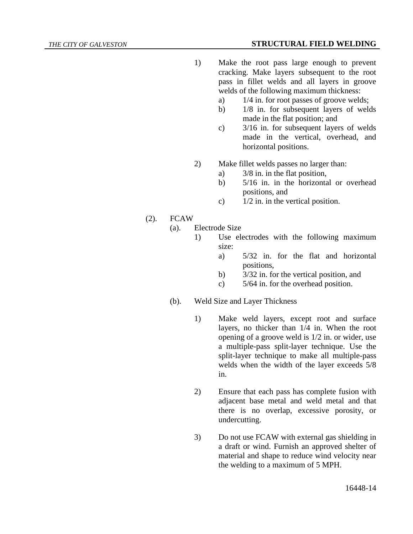## *THE CITY OF GALVESTON* **STRUCTURAL FIELD WELDING**

- 1) Make the root pass large enough to prevent cracking. Make layers subsequent to the root pass in fillet welds and all layers in groove welds of the following maximum thickness:
	- a) 1/4 in. for root passes of groove welds;
	- b) 1/8 in. for subsequent layers of welds made in the flat position; and
	- c) 3/16 in. for subsequent layers of welds made in the vertical, overhead, and horizontal positions.
- 2) Make fillet welds passes no larger than:
	- a) 3/8 in. in the flat position,
	- b) 5/16 in. in the horizontal or overhead positions, and
	- c)  $1/2$  in. in the vertical position.
- (2). FCAW
	- (a). Electrode Size
		- 1) Use electrodes with the following maximum size:
			- a) 5/32 in. for the flat and horizontal positions,
			- b) 3/32 in. for the vertical position, and
			- c) 5/64 in. for the overhead position.
	- (b). Weld Size and Layer Thickness
		- 1) Make weld layers, except root and surface layers, no thicker than 1/4 in. When the root opening of a groove weld is 1/2 in. or wider, use a multiple-pass split-layer technique. Use the split-layer technique to make all multiple-pass welds when the width of the layer exceeds 5/8 in.
		- 2) Ensure that each pass has complete fusion with adjacent base metal and weld metal and that there is no overlap, excessive porosity, or undercutting.
		- 3) Do not use FCAW with external gas shielding in a draft or wind. Furnish an approved shelter of material and shape to reduce wind velocity near the welding to a maximum of 5 MPH.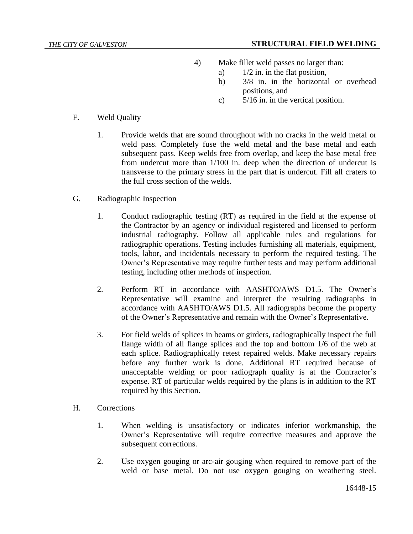- 4) Make fillet weld passes no larger than:
	- a)  $1/2$  in. in the flat position,
	- b) 3/8 in. in the horizontal or overhead positions, and
	- c) 5/16 in. in the vertical position.

- F. Weld Quality
	- 1. Provide welds that are sound throughout with no cracks in the weld metal or weld pass. Completely fuse the weld metal and the base metal and each subsequent pass. Keep welds free from overlap, and keep the base metal free from undercut more than 1/100 in. deep when the direction of undercut is transverse to the primary stress in the part that is undercut. Fill all craters to the full cross section of the welds.
- G. Radiographic Inspection
	- 1. Conduct radiographic testing (RT) as required in the field at the expense of the Contractor by an agency or individual registered and licensed to perform industrial radiography. Follow all applicable rules and regulations for radiographic operations. Testing includes furnishing all materials, equipment, tools, labor, and incidentals necessary to perform the required testing. The Owner's Representative may require further tests and may perform additional testing, including other methods of inspection.
	- 2. Perform RT in accordance with AASHTO/AWS D1.5. The Owner's Representative will examine and interpret the resulting radiographs in accordance with AASHTO/AWS D1.5. All radiographs become the property of the Owner's Representative and remain with the Owner's Representative.
	- 3. For field welds of splices in beams or girders, radiographically inspect the full flange width of all flange splices and the top and bottom 1/6 of the web at each splice. Radiographically retest repaired welds. Make necessary repairs before any further work is done. Additional RT required because of unacceptable welding or poor radiograph quality is at the Contractor's expense. RT of particular welds required by the plans is in addition to the RT required by this Section.
- H. Corrections
	- 1. When welding is unsatisfactory or indicates inferior workmanship, the Owner's Representative will require corrective measures and approve the subsequent corrections.
	- 2. Use oxygen gouging or arc-air gouging when required to remove part of the weld or base metal. Do not use oxygen gouging on weathering steel.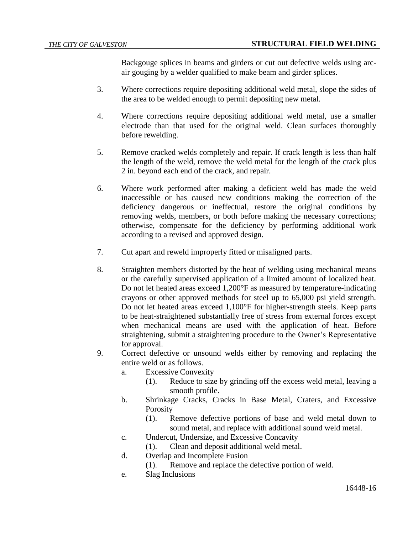Backgouge splices in beams and girders or cut out defective welds using arcair gouging by a welder qualified to make beam and girder splices.

- 3. Where corrections require depositing additional weld metal, slope the sides of the area to be welded enough to permit depositing new metal.
- 4. Where corrections require depositing additional weld metal, use a smaller electrode than that used for the original weld. Clean surfaces thoroughly before rewelding.
- 5. Remove cracked welds completely and repair. If crack length is less than half the length of the weld, remove the weld metal for the length of the crack plus 2 in. beyond each end of the crack, and repair.
- 6. Where work performed after making a deficient weld has made the weld inaccessible or has caused new conditions making the correction of the deficiency dangerous or ineffectual, restore the original conditions by removing welds, members, or both before making the necessary corrections; otherwise, compensate for the deficiency by performing additional work according to a revised and approved design.
- 7. Cut apart and reweld improperly fitted or misaligned parts.
- 8. Straighten members distorted by the heat of welding using mechanical means or the carefully supervised application of a limited amount of localized heat. Do not let heated areas exceed 1,200°F as measured by temperature-indicating crayons or other approved methods for steel up to 65,000 psi yield strength. Do not let heated areas exceed 1,100°F for higher-strength steels. Keep parts to be heat-straightened substantially free of stress from external forces except when mechanical means are used with the application of heat. Before straightening, submit a straightening procedure to the Owner's Representative for approval.
- 9. Correct defective or unsound welds either by removing and replacing the entire weld or as follows.
	- a. Excessive Convexity
		- (1). Reduce to size by grinding off the excess weld metal, leaving a smooth profile.
	- b. Shrinkage Cracks, Cracks in Base Metal, Craters, and Excessive **Porosity** 
		- (1). Remove defective portions of base and weld metal down to sound metal, and replace with additional sound weld metal.
	- c. Undercut, Undersize, and Excessive Concavity
		- (1). Clean and deposit additional weld metal.
	- d. Overlap and Incomplete Fusion
		- (1). Remove and replace the defective portion of weld.
	- e. Slag Inclusions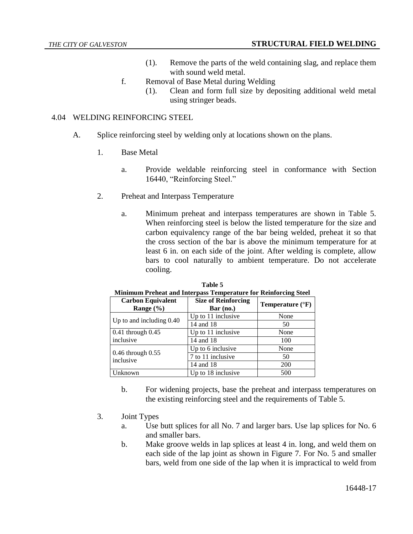- (1). Remove the parts of the weld containing slag, and replace them with sound weld metal.
- f. Removal of Base Metal during Welding
	- (1). Clean and form full size by depositing additional weld metal using stringer beads.

# 4.04 WELDING REINFORCING STEEL

- A. Splice reinforcing steel by welding only at locations shown on the plans.
	- 1. Base Metal
		- a. Provide weldable reinforcing steel in conformance with Section 16440, "Reinforcing Steel."
	- 2. Preheat and Interpass Temperature
		- a. Minimum preheat and interpass temperatures are shown in Table 5. When reinforcing steel is below the listed temperature for the size and carbon equivalency range of the bar being welded, preheat it so that the cross section of the bar is above the minimum temperature for at least 6 in. on each side of the joint. After welding is complete, allow bars to cool naturally to ambient temperature. Do not accelerate cooling.

| <u>Minimum Preneat and Interpass Temperature for Rennorcing Steel</u> |                                           |                           |  |
|-----------------------------------------------------------------------|-------------------------------------------|---------------------------|--|
| <b>Carbon Equivalent</b><br>Range $(\% )$                             | <b>Size of Reinforcing</b><br>$Bar$ (no.) | Temperature $(^{\circ}F)$ |  |
| Up to and including $0.40$                                            | Up to 11 inclusive                        | None                      |  |
|                                                                       | 14 and 18                                 | 50                        |  |
| $0.41$ through $0.45$                                                 | Up to 11 inclusive                        | None                      |  |
| inclusive                                                             | 14 and 18                                 | 100                       |  |
|                                                                       | Up to 6 inclusive                         | None                      |  |
| $0.46$ through $0.55$<br>inclusive                                    | 7 to 11 inclusive                         | 50                        |  |
|                                                                       | 14 and 18                                 | <b>200</b>                |  |
| Unknown                                                               | Up to 18 inclusive                        | 500                       |  |

| Table 5                                                                |
|------------------------------------------------------------------------|
| <b>Minimum Preheat and Interpass Temperature for Reinforcing Steel</b> |

- b. For widening projects, base the preheat and interpass temperatures on the existing reinforcing steel and the requirements of Table 5.
- 3. Joint Types
	- a. Use butt splices for all No. 7 and larger bars. Use lap splices for No. 6 and smaller bars.
	- b. Make groove welds in lap splices at least 4 in. long, and weld them on each side of the lap joint as shown in Figure 7. For No. 5 and smaller bars, weld from one side of the lap when it is impractical to weld from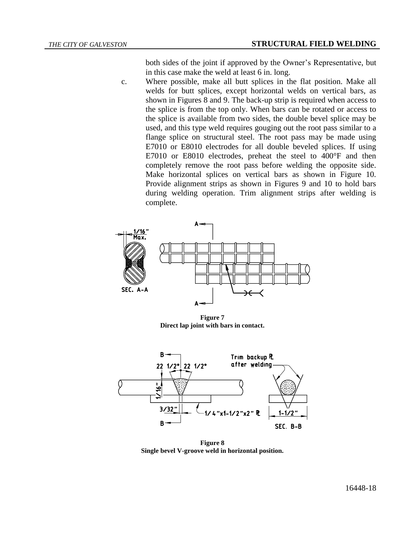both sides of the joint if approved by the Owner's Representative, but in this case make the weld at least 6 in. long.

c. Where possible, make all butt splices in the flat position. Make all welds for butt splices, except horizontal welds on vertical bars, as shown in Figures 8 and 9. The back-up strip is required when access to the splice is from the top only. When bars can be rotated or access to the splice is available from two sides, the double bevel splice may be used, and this type weld requires gouging out the root pass similar to a flange splice on structural steel. The root pass may be made using E7010 or E8010 electrodes for all double beveled splices. If using E7010 or E8010 electrodes, preheat the steel to 400°F and then completely remove the root pass before welding the opposite side. Make horizontal splices on vertical bars as shown in Figure 10. Provide alignment strips as shown in Figures 9 and 10 to hold bars during welding operation. Trim alignment strips after welding is complete.



**Figure 7 Direct lap joint with bars in contact.**



**Figure 8 Single bevel V-groove weld in horizontal position.**